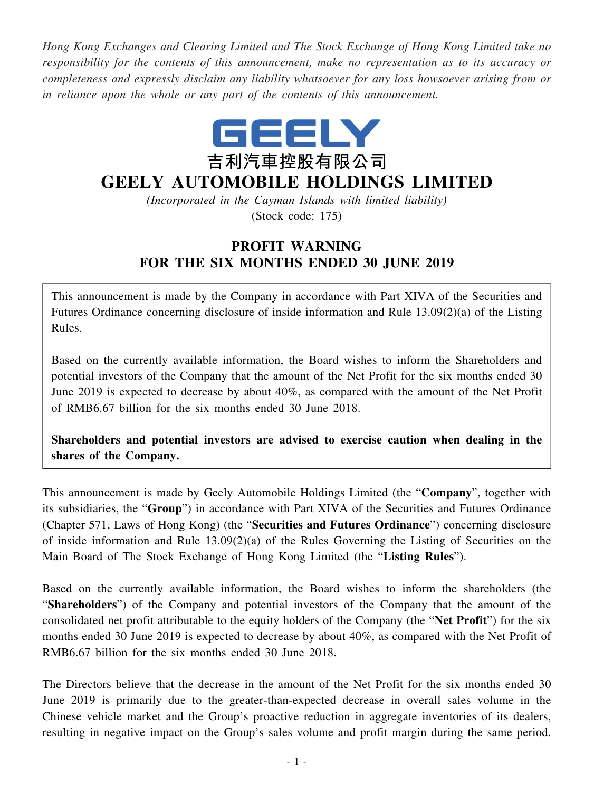*Hong Kong Exchanges and Clearing Limited and The Stock Exchange of Hong Kong Limited take no responsibility for the contents of this announcement, make no representation as to its accuracy or completeness and expressly disclaim any liability whatsoever for any loss howsoever arising from or in reliance upon the whole or any part of the contents of this announcement.*



## **GEELY AUTOMOBILE HOLDINGS LIMITED**

*(Incorporated in the Cayman Islands with limited liability)* (Stock code: 175)

## **PROFIT WARNING FOR THE SIX MONTHS ENDED 30 JUNE 2019**

This announcement is made by the Company in accordance with Part XIVA of the Securities and Futures Ordinance concerning disclosure of inside information and Rule 13.09(2)(a) of the Listing Rules.

Based on the currently available information, the Board wishes to inform the Shareholders and potential investors of the Company that the amount of the Net Profit for the six months ended 30 June 2019 is expected to decrease by about 40%, as compared with the amount of the Net Profit of RMB6.67 billion for the six months ended 30 June 2018.

**Shareholders and potential investors are advised to exercise caution when dealing in the shares of the Company.**

This announcement is made by Geely Automobile Holdings Limited (the "**Company**", together with its subsidiaries, the "**Group**") in accordance with Part XIVA of the Securities and Futures Ordinance (Chapter 571, Laws of Hong Kong) (the "**Securities and Futures Ordinance**") concerning disclosure of inside information and Rule  $13.09(2)(a)$  of the Rules Governing the Listing of Securities on the Main Board of The Stock Exchange of Hong Kong Limited (the "**Listing Rules**").

Based on the currently available information, the Board wishes to inform the shareholders (the "**Shareholders**") of the Company and potential investors of the Company that the amount of the consolidated net profit attributable to the equity holders of the Company (the "**Net Profit**") for the six months ended 30 June 2019 is expected to decrease by about 40%, as compared with the Net Profit of RMB6.67 billion for the six months ended 30 June 2018.

The Directors believe that the decrease in the amount of the Net Profit for the six months ended 30 June 2019 is primarily due to the greater-than-expected decrease in overall sales volume in the Chinese vehicle market and the Group's proactive reduction in aggregate inventories of its dealers, resulting in negative impact on the Group's sales volume and profit margin during the same period.